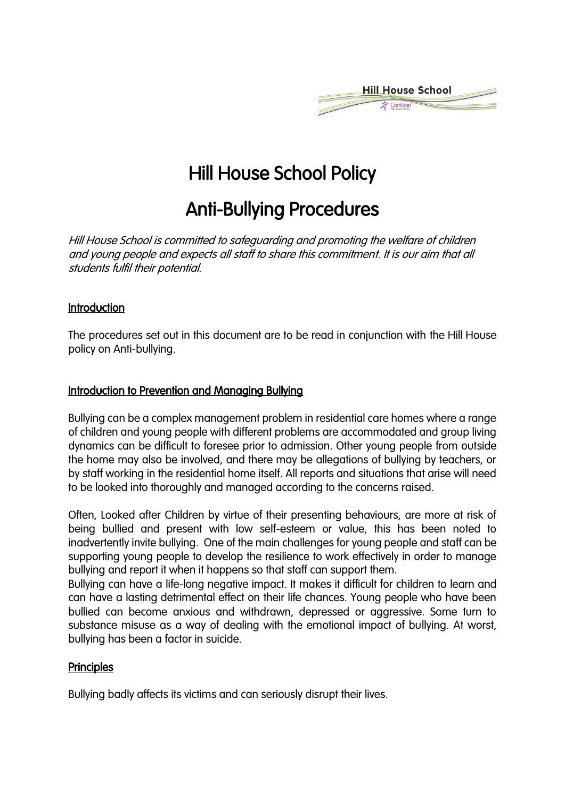

# Hill House School Policy

## Anti-Bullying Procedures

Hill House School is committed to safeguarding and promoting the welfare of children and young people and expects all staff to share this commitment. It is our aim that all students fulfil their potential.

### **Introduction**

The procedures set out in this document are to be read in conjunction with the Hill House policy on Anti-bullying.

### Introduction to Prevention and Managing Bullying

Bullying can be a complex management problem in residential care homes where a range of children and young people with different problems are accommodated and group living dynamics can be difficult to foresee prior to admission. Other young people from outside the home may also be involved, and there may be allegations of bullying by teachers, or by staff working in the residential home itself. All reports and situations that arise will need to be looked into thoroughly and managed according to the concerns raised.

Often, Looked after Children by virtue of their presenting behaviours, are more at risk of being bullied and present with low self-esteem or value, this has been noted to inadvertently invite bullying. One of the main challenges for young people and staff can be supporting young people to develop the resilience to work effectively in order to manage bullying and report it when it happens so that staff can support them.

Bullying can have a life-long negative impact. It makes it difficult for children to learn and can have a lasting detrimental effect on their life chances. Young people who have been bullied can become anxious and withdrawn, depressed or aggressive. Some turn to substance misuse as a way of dealing with the emotional impact of bullying. At worst, bullying has been a factor in suicide.

#### **Principles**

Bullying badly affects its victims and can seriously disrupt their lives.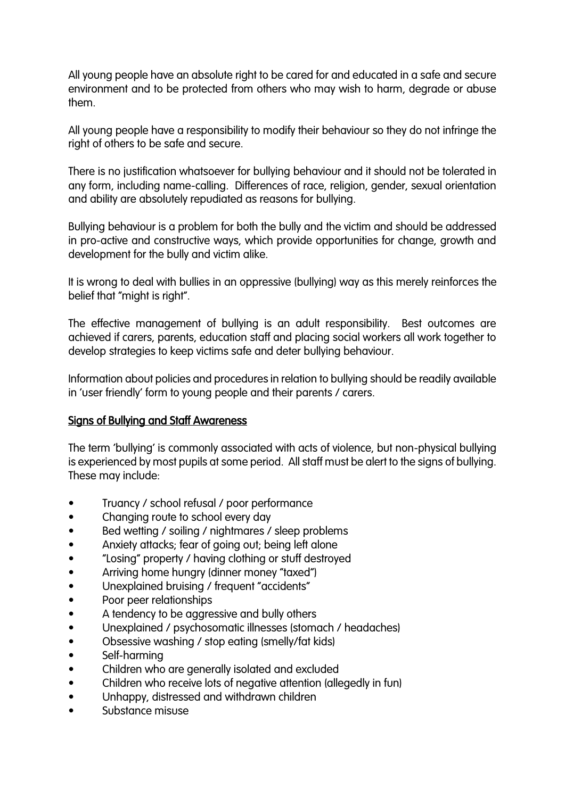All young people have an absolute right to be cared for and educated in a safe and secure environment and to be protected from others who may wish to harm, degrade or abuse them.

All young people have a responsibility to modify their behaviour so they do not infringe the right of others to be safe and secure.

There is no justification whatsoever for bullying behaviour and it should not be tolerated in any form, including name-calling. Differences of race, religion, gender, sexual orientation and ability are absolutely repudiated as reasons for bullying.

Bullying behaviour is a problem for both the bully and the victim and should be addressed in pro-active and constructive ways, which provide opportunities for change, growth and development for the bully and victim alike.

It is wrong to deal with bullies in an oppressive (bullying) way as this merely reinforces the belief that "might is right".

The effective management of bullying is an adult responsibility. Best outcomes are achieved if carers, parents, education staff and placing social workers all work together to develop strategies to keep victims safe and deter bullying behaviour.

Information about policies and procedures in relation to bullying should be readily available in 'user friendly' form to young people and their parents / carers.

## Signs of Bullying and Staff Awareness

The term 'bullying' is commonly associated with acts of violence, but non-physical bullying is experienced by most pupils at some period. All staff must be alert to the signs of bullying. These may include:

- Truancy / school refusal / poor performance
- Changing route to school every day
- Bed wetting / soiling / nightmares / sleep problems
- Anxiety attacks; fear of going out; being left alone
- "Losing" property / having clothing or stuff destroyed
- Arriving home hungry (dinner money "taxed")
- Unexplained bruising / frequent "accidents"
- Poor peer relationships
- A tendency to be aggressive and bully others
- Unexplained / psychosomatic illnesses (stomach / headaches)
- Obsessive washing / stop eating (smelly/fat kids)
- Self-harming
- Children who are generally isolated and excluded
- Children who receive lots of negative attention (allegedly in fun)
- Unhappy, distressed and withdrawn children
- Substance misuse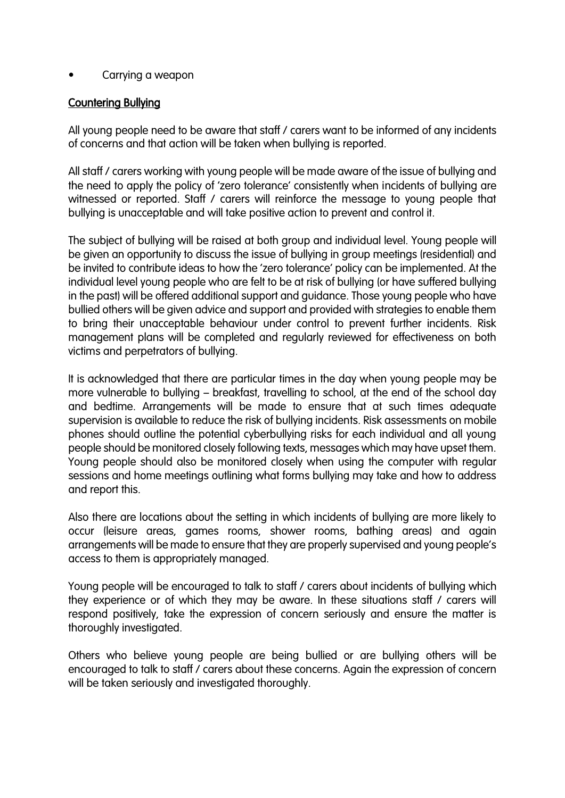#### • Carrying a weapon

### Countering Bullying

All young people need to be aware that staff / carers want to be informed of any incidents of concerns and that action will be taken when bullying is reported.

All staff / carers working with young people will be made aware of the issue of bullying and the need to apply the policy of 'zero tolerance' consistently when incidents of bullying are witnessed or reported. Staff / carers will reinforce the message to young people that bullying is unacceptable and will take positive action to prevent and control it.

The subject of bullying will be raised at both group and individual level. Young people will be given an opportunity to discuss the issue of bullying in group meetings (residential) and be invited to contribute ideas to how the 'zero tolerance' policy can be implemented. At the individual level young people who are felt to be at risk of bullying (or have suffered bullying in the past) will be offered additional support and guidance. Those young people who have bullied others will be given advice and support and provided with strategies to enable them to bring their unacceptable behaviour under control to prevent further incidents. Risk management plans will be completed and regularly reviewed for effectiveness on both victims and perpetrators of bullying.

It is acknowledged that there are particular times in the day when young people may be more vulnerable to bullying – breakfast, travelling to school, at the end of the school day and bedtime. Arrangements will be made to ensure that at such times adequate supervision is available to reduce the risk of bullying incidents. Risk assessments on mobile phones should outline the potential cyberbullying risks for each individual and all young people should be monitored closely following texts, messages which may have upset them. Young people should also be monitored closely when using the computer with regular sessions and home meetings outlining what forms bullying may take and how to address and report this.

Also there are locations about the setting in which incidents of bullying are more likely to occur (leisure areas, games rooms, shower rooms, bathing areas) and again arrangements will be made to ensure that they are properly supervised and young people's access to them is appropriately managed.

Young people will be encouraged to talk to staff / carers about incidents of bullying which they experience or of which they may be aware. In these situations staff / carers will respond positively, take the expression of concern seriously and ensure the matter is thoroughly investigated.

Others who believe young people are being bullied or are bullying others will be encouraged to talk to staff / carers about these concerns. Again the expression of concern will be taken seriously and investigated thoroughly.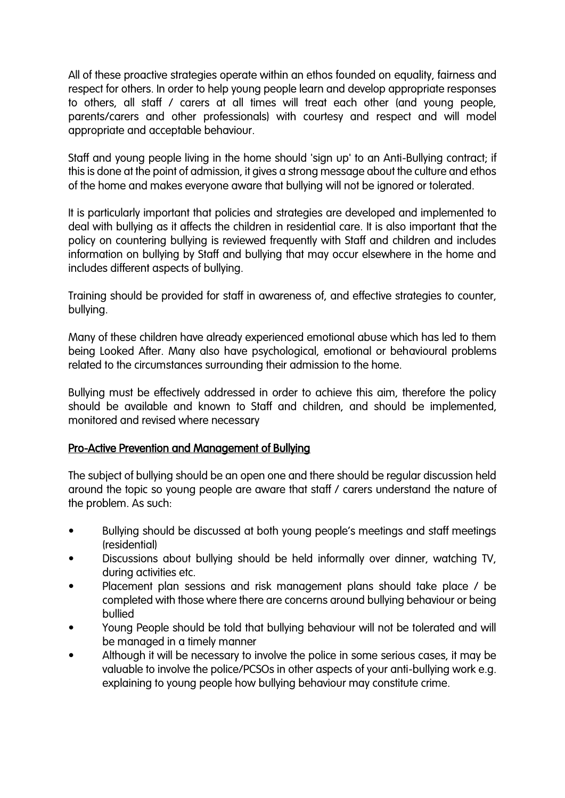All of these proactive strategies operate within an ethos founded on equality, fairness and respect for others. In order to help young people learn and develop appropriate responses to others, all staff / carers at all times will treat each other (and young people, parents/carers and other professionals) with courtesy and respect and will model appropriate and acceptable behaviour.

Staff and young people living in the home should 'sign up' to an Anti-Bullying contract; if this is done at the point of admission, it gives a strong message about the culture and ethos of the home and makes everyone aware that bullying will not be ignored or tolerated.

It is particularly important that policies and strategies are developed and implemented to deal with bullying as it affects the children in residential care. It is also important that the policy on countering bullying is reviewed frequently with Staff and children and includes information on bullying by Staff and bullying that may occur elsewhere in the home and includes different aspects of bullying.

Training should be provided for staff in awareness of, and effective strategies to counter, bullying.

Many of these children have already experienced emotional abuse which has led to them being Looked After. Many also have psychological, emotional or behavioural problems related to the circumstances surrounding their admission to the home.

Bullying must be effectively addressed in order to achieve this aim, therefore the policy should be available and known to Staff and children, and should be implemented, monitored and revised where necessary

## Pro-Active Prevention and Management of Bullying

The subject of bullying should be an open one and there should be regular discussion held around the topic so young people are aware that staff / carers understand the nature of the problem. As such:

- Bullying should be discussed at both young people's meetings and staff meetings (residential)
- Discussions about bullying should be held informally over dinner, watching TV, during activities etc.
- Placement plan sessions and risk management plans should take place / be completed with those where there are concerns around bullying behaviour or being bullied
- Young People should be told that bullying behaviour will not be tolerated and will be managed in a timely manner
- Although it will be necessary to involve the police in some serious cases, it may be valuable to involve the police/PCSOs in other aspects of your anti-bullying work e.g. explaining to young people how bullying behaviour may constitute crime.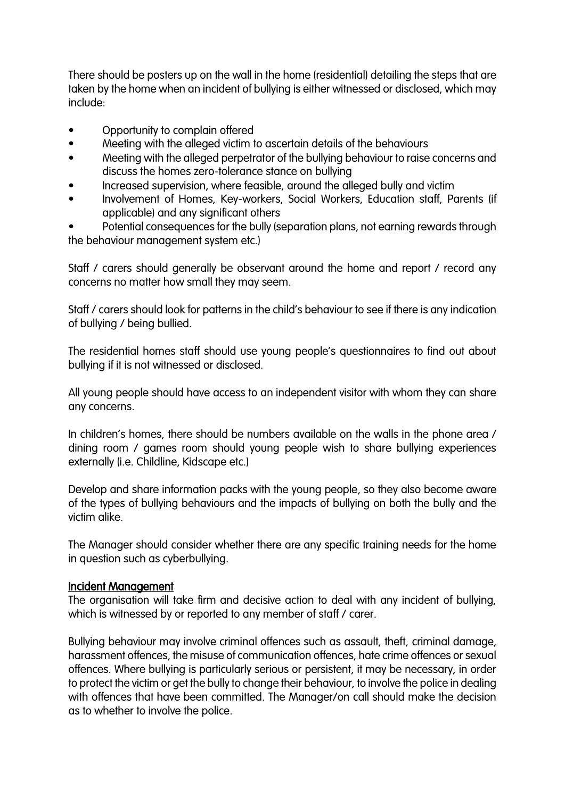There should be posters up on the wall in the home (residential) detailing the steps that are taken by the home when an incident of bullying is either witnessed or disclosed, which may include:

- Opportunity to complain offered
- Meeting with the alleged victim to ascertain details of the behaviours
- Meeting with the alleged perpetrator of the bullying behaviour to raise concerns and discuss the homes zero-tolerance stance on bullying
- Increased supervision, where feasible, around the alleged bully and victim
- Involvement of Homes, Key-workers, Social Workers, Education staff, Parents (if applicable) and any significant others
- Potential consequences for the bully (separation plans, not earning rewards through the behaviour management system etc.)

Staff / carers should generally be observant around the home and report / record any concerns no matter how small they may seem.

Staff / carers should look for patterns in the child's behaviour to see if there is any indication of bullying / being bullied.

The residential homes staff should use young people's questionnaires to find out about bullying if it is not witnessed or disclosed.

All young people should have access to an independent visitor with whom they can share any concerns.

In children's homes, there should be numbers available on the walls in the phone area / dining room / games room should young people wish to share bullying experiences externally (i.e. Childline, Kidscape etc.)

Develop and share information packs with the young people, so they also become aware of the types of bullying behaviours and the impacts of bullying on both the bully and the victim alike.

The Manager should consider whether there are any specific training needs for the home in question such as cyberbullying.

#### Incident Management

The organisation will take firm and decisive action to deal with any incident of bullying, which is witnessed by or reported to any member of staff / carer.

Bullying behaviour may involve criminal offences such as assault, theft, criminal damage, harassment offences, the misuse of communication offences, hate crime offences or sexual offences. Where bullying is particularly serious or persistent, it may be necessary, in order to protect the victim or get the bully to change their behaviour, to involve the police in dealing with offences that have been committed. The Manager/on call should make the decision as to whether to involve the police.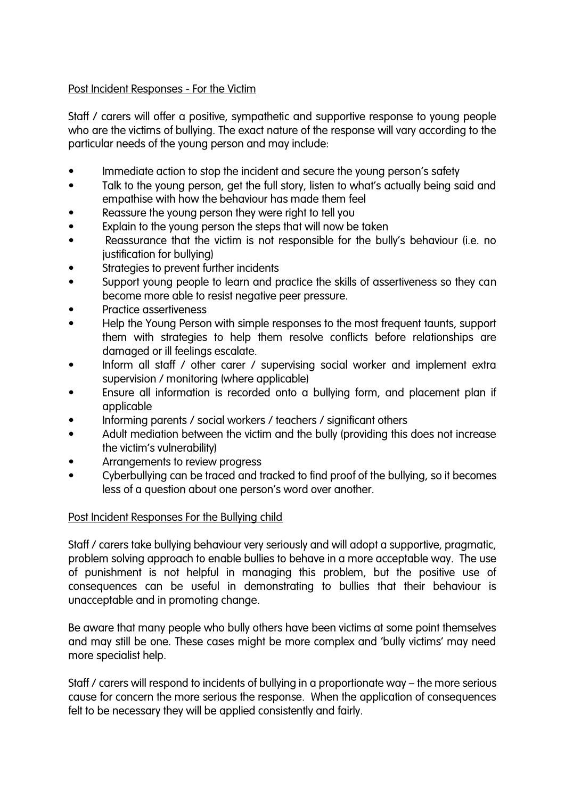## Post Incident Responses - For the Victim

Staff / carers will offer a positive, sympathetic and supportive response to young people who are the victims of bullying. The exact nature of the response will vary according to the particular needs of the young person and may include:

- Immediate action to stop the incident and secure the young person's safety
- Talk to the young person, get the full story, listen to what's actually being said and empathise with how the behaviour has made them feel
- Reassure the young person they were right to tell you
- Explain to the young person the steps that will now be taken
- Reassurance that the victim is not responsible for the bully's behaviour (i.e. no justification for bullying)
- Strategies to prevent further incidents
- Support young people to learn and practice the skills of assertiveness so they can become more able to resist negative peer pressure.
- Practice assertiveness
- Help the Young Person with simple responses to the most frequent taunts, support them with strategies to help them resolve conflicts before relationships are damaged or ill feelings escalate.
- Inform all staff / other carer / supervising social worker and implement extra supervision / monitoring (where applicable)
- Ensure all information is recorded onto a bullying form, and placement plan if applicable
- Informing parents / social workers / teachers / significant others
- Adult mediation between the victim and the bully (providing this does not increase the victim's vulnerability)
- Arrangements to review progress
- Cyberbullying can be traced and tracked to find proof of the bullying, so it becomes less of a question about one person's word over another.

#### Post Incident Responses For the Bullying child

Staff / carers take bullying behaviour very seriously and will adopt a supportive, pragmatic, problem solving approach to enable bullies to behave in a more acceptable way. The use of punishment is not helpful in managing this problem, but the positive use of consequences can be useful in demonstrating to bullies that their behaviour is unacceptable and in promoting change.

Be aware that many people who bully others have been victims at some point themselves and may still be one. These cases might be more complex and 'bully victims' may need more specialist help.

Staff / carers will respond to incidents of bullying in a proportionate way – the more serious cause for concern the more serious the response. When the application of consequences felt to be necessary they will be applied consistently and fairly.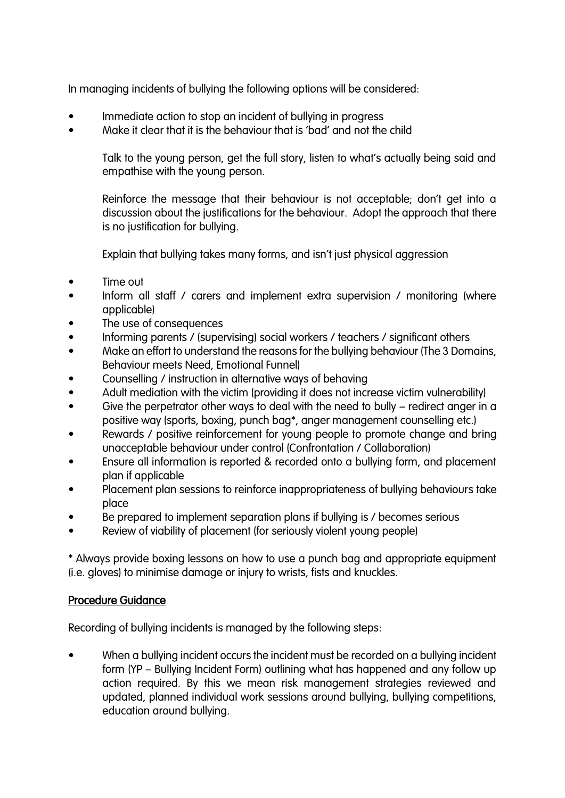In managing incidents of bullying the following options will be considered:

- Immediate action to stop an incident of bullying in progress
- Make it clear that it is the behaviour that is 'bad' and not the child

Talk to the young person, get the full story, listen to what's actually being said and empathise with the young person.

Reinforce the message that their behaviour is not acceptable; don't get into a discussion about the justifications for the behaviour. Adopt the approach that there is no justification for bullying.

Explain that bullying takes many forms, and isn't just physical aggression

- Time out
- Inform all staff / carers and implement extra supervision / monitoring (where applicable)
- The use of consequences
- Informing parents / (supervising) social workers / teachers / significant others
- Make an effort to understand the reasons for the bullying behaviour (The 3 Domains, Behaviour meets Need, Emotional Funnel)
- Counselling / instruction in alternative ways of behaving
- Adult mediation with the victim (providing it does not increase victim vulnerability)
- Give the perpetrator other ways to deal with the need to bully redirect anger in a positive way (sports, boxing, punch bag\*, anger management counselling etc.)
- Rewards / positive reinforcement for young people to promote change and bring unacceptable behaviour under control (Confrontation / Collaboration)
- Ensure all information is reported & recorded onto a bullying form, and placement plan if applicable
- Placement plan sessions to reinforce inappropriateness of bullying behaviours take place
- Be prepared to implement separation plans if bullying is / becomes serious
- Review of viability of placement (for seriously violent young people)

\* Always provide boxing lessons on how to use a punch bag and appropriate equipment (i.e. gloves) to minimise damage or injury to wrists, fists and knuckles.

## Procedure Guidance

Recording of bullying incidents is managed by the following steps:

When a bullying incident occurs the incident must be recorded on a bullying incident form (YP – Bullying Incident Form) outlining what has happened and any follow up action required. By this we mean risk management strategies reviewed and updated, planned individual work sessions around bullying, bullying competitions, education around bullying.